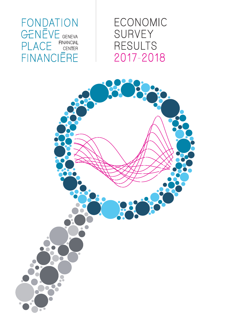FONDATION GENEVE GENEVA **FINANCIAL** PLACE **CENTER FINANCIERE**  ECONOMIC SURVEY **RESULTS** 2017-2018

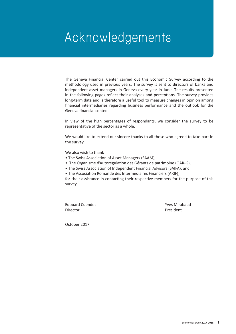# **Acknowledgements**

The Geneva Financial Center carried out this Economic Survey according to the methodology used in previous years. The survey is sent to directors of banks and independent asset managers in Geneva every year in June. The results presented in the following pages reflect their analyses and perceptions. The survey provides long-term data and is therefore a useful tool to measure changes in opinion among financial intermediaries regarding business performance and the outlook for the Geneva financial center.

In view of the high percentages of respondants, we consider the survey to be representative of the sector as a whole.

We would like to extend our sincere thanks to all those who agreed to take part in the survey.

We also wish to thank

- The Swiss Association of Asset Managers (SAAM),
- The Organisme d'Autorégulation des Gérants de patrimoine (OAR-G),
- The Swiss Association of Independent Financial Advisors (SAIFA), and
- The Association Romande des Intermédiaires Financiers (ARIF),

for their assistance in contacting their respective members for the purpose of this survey.

Edouard Cuendet **Yves Mirabaud** Director **President** 

October 2017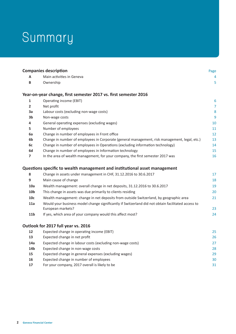# **Summary**

|                         | <b>Companies description</b>                                                                       | Page            |
|-------------------------|----------------------------------------------------------------------------------------------------|-----------------|
| А                       | Main activities in Geneva                                                                          | 4               |
| B                       | Ownership                                                                                          | 5               |
|                         | Year-on-year change, first semester 2017 vs. first semester 2016                                   |                 |
| 1                       | Operating income (EBIT)                                                                            | $6\phantom{1}6$ |
| $\overline{\mathbf{2}}$ | Net profit                                                                                         | $\overline{7}$  |
| 3a                      | Labour costs (excluding non-wage costs)                                                            | 8               |
| 3b                      | Non-wage costs                                                                                     | 9               |
| 4                       | General operating expenses (excluding wages)                                                       | 10              |
| 5                       | Number of employees                                                                                | 11              |
| 6а                      | Change in number of employees in Front office                                                      | 12              |
| 6b                      | Change in number of employees in Corporate (general management, risk management, legal, etc.)      | 13              |
| 6c                      | Change in number of employees in Operations (excluding information technology)                     | 14              |
| 6d                      | Change in number of employees in Information technology                                            | 15              |
| $\overline{ }$          | In the area of wealth management, for your company, the first semester 2017 was                    | 16              |
|                         | Questions specific to wealth management and institutional asset management                         |                 |
| 8                       | Change in assets under management in CHF, 31.12.2016 to 30.6.2017                                  | 17              |
| 9                       | Main cause of change                                                                               | 18              |
| 10a                     | Wealth management: overall change in net deposits, 31.12.2016 to 30.6.2017                         | 19              |
| 10 <sub>b</sub>         | This change in assets was due primarily to clients residing                                        | 20              |
| 10 <sub>c</sub>         | Wealth management: change in net deposits from outside Switzerland, by geographic area             | 21              |
| 11a                     | Would your business model change significantly if Switzerland did not obtain facilitated access to |                 |
|                         | European markets?                                                                                  | 23              |
| 11 <sub>b</sub>         | If yes, which area of your company would this affect most?                                         | 24              |
|                         | Outlook for 2017 full year vs. 2016                                                                |                 |
| 12                      | Expected change in operating income (EBIT)                                                         | 25              |
| 13                      | Expected change in net profit                                                                      | 26              |
| 14a                     | Expected change in labour costs (excluding non-wage costs)                                         | 27              |
| 14b                     | Expected change in non-wage costs                                                                  | 28              |
| 15                      | Expected change in general expenses (excluding wages)                                              | 29              |
| 16                      | Expected change in number of employees                                                             | 30              |
| 17                      | For your company, 2017 overall is likely to be                                                     | 31              |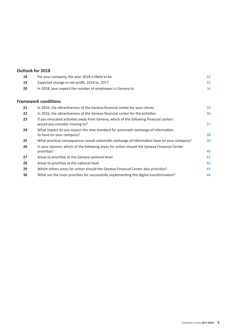### **Outlook for 2018**

| 18 | For your company, the year 2018 is likely to be                                                                         | 32 |
|----|-------------------------------------------------------------------------------------------------------------------------|----|
| 19 | Expected change in net profit, 2018 vs. 2017                                                                            | 33 |
| 20 | In 2018, your expect the number of employees in Geneva to                                                               | 34 |
|    | <b>Framework conditions</b>                                                                                             |    |
| 21 | In 2016, the attractiveness of the Geneva financial center for your clients                                             | 35 |
| 22 | In 2016, the attractiveness of the Geneva financial center for the activities                                           | 36 |
| 23 | If you relocated activities away from Geneva, which of the following financial centers<br>would you consider moving to? | 37 |
| 24 | What impact do you expect the new standard for automatic exchange of information<br>to have on your company?            | 38 |
| 25 | What practical consequences would automatic exchange of information have on your company?                               | 39 |
| 26 | In your opinion, which of the following areas for action should the Geneva Financial Center<br>prioritize?              | 40 |
| 27 | Areas to prioritize at the Geneva cantonal level                                                                        | 41 |
| 28 | Areas to prioritize at the national level                                                                               | 42 |
| 29 | Which others areas for action should the Geneva Financial Center also prioritize?                                       | 43 |
| 30 | What are the main priorities for successfully implementing the digital transformation?                                  | 44 |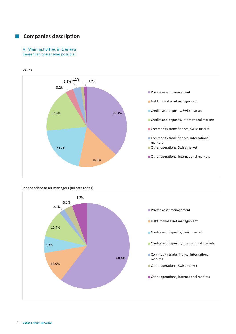# $\blacksquare$  Companies description

#### A. Main activities in Geneva (more than one answer possible)

Banks



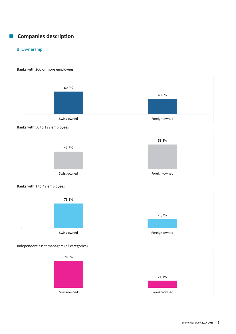# $\blacksquare$  Companies description

# B. Ownership

#### Banks with 200 or more employees







### Banks with 1 to 49 employees



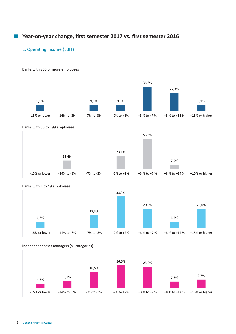# 1. Operating income (EBIT)

#### Banks with 200 or more employees









### Banks with 1 to 49 employees



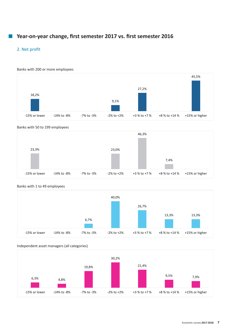# 2. Net profit



#### Banks with 50 to 199 employees





### Banks with 1 to 49 employees

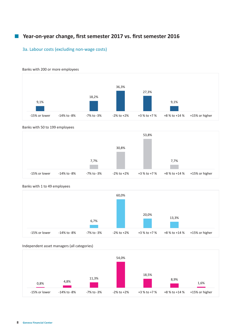### 3a. Labour costs (excluding non-wage costs)



Banks with 200 or more employees

#### Banks with 50 to 199 employees





# Banks with 1 to 49 employees

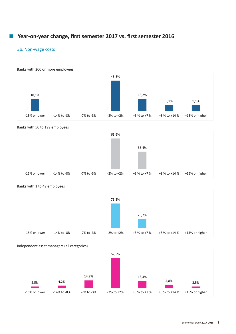### 3b. Non-wage costs

Banks with 200 or more employees



#### Banks with 50 to 199 employees





### Banks with 1 to 49 employees

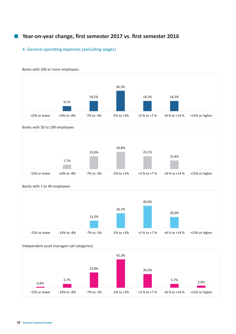### 4. General operating expenses (excluding wages)



#### Banks with 200 or more employees







### Banks with 1 to 49 employees



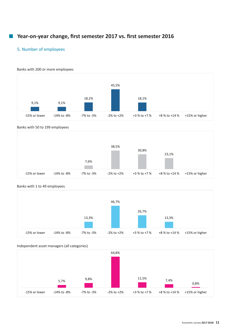# 5. Number of employees

Banks with 200 or more employees



#### Banks with 50 to 199 employees





### Banks with 1 to 49 employees

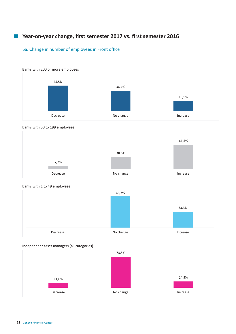# 6a. Change in number of employees in Front office





#### Banks with 50 to 199 employees





### Banks with 1 to 49 employees

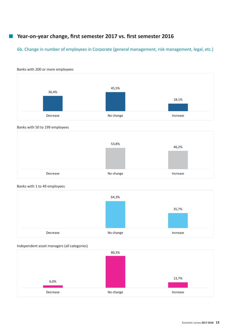# 6b. Change in number of employees in Corporate (general management, risk management, legal, etc.)



#### Banks with 200 or more employees









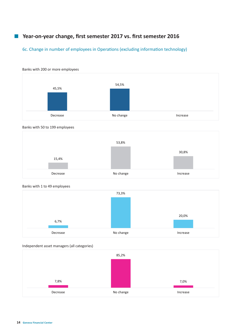# 6c. Change in number of employees in Operations (excluding information technology)



#### Banks with 200 or more employees







### Banks with 1 to 49 employees



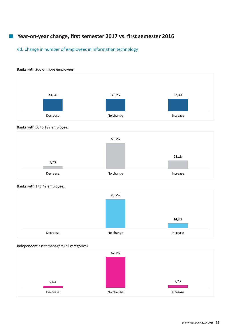# 6d. Change in number of employees in Information technology





#### Banks with 50 to 199 employees





# Banks with 1 to 49 employees

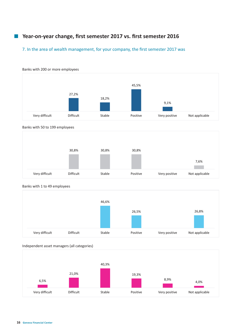# 7. In the area of wealth management, for your company, the first semester 2017 was



#### Banks with 200 or more employees



|                | 30,8%            | 30,8%  | 30,8%    |               |                |
|----------------|------------------|--------|----------|---------------|----------------|
|                |                  |        |          |               | 7,6%           |
| Very difficult | <b>Difficult</b> | Stable | Positive | Very positive | Not applicable |

#### Banks with 1 to 49 employees



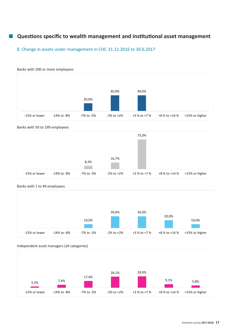# 8. Change in assets under management in CHF, 31.12.2016 to 30.6.2017



#### Banks with 50 to 199 employees





### Banks with 1 to 49 employees

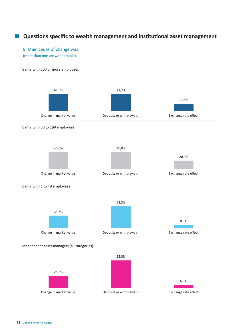# 9. Main cause of change was

(more than one answer possible)

#### Banks with 200 or more employees



#### Banks with 50 to 199 employees



#### Banks with 1 to 49 employees



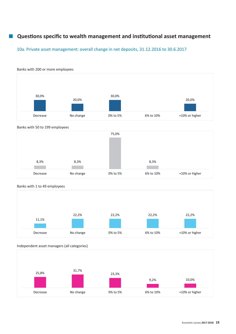# 10a. Private asset management: overall change in net deposits, 31.12.2016 to 30.6.2017



# Banks with 50 to 199 employees





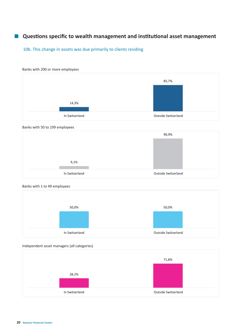10b. This change in assets was due primarily to clients residing

#### Banks with 200 or more employees



#### Banks with 50 to 199 employees



#### Banks with 1 to 49 employees



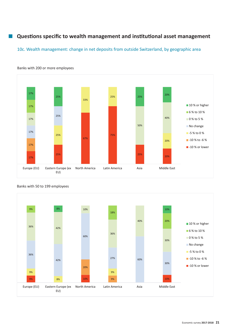### 10c. Wealth management: change in net deposits from outside Switzerland, by geographic area



Banks with 200 or more employees



#### Banks with 50 to 199 employees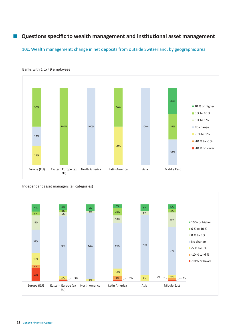### 10c. Wealth management: change in net deposits from outside Switzerland, by geographic area



Banks with 1 to 49 employees

Independant asset managers (all categories)

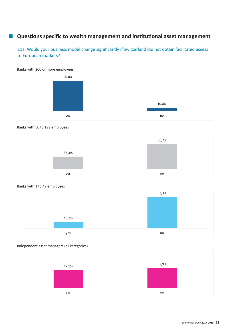11a. Would your business model change significantly if Switzerland did not obtain facilitated access to European markets?





#### Banks with 50 to 199 employees



#### Banks with 1 to 49 employees



Independent asset managers (all categories)

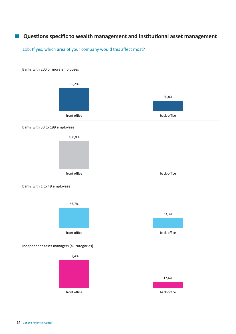11b. If yes, which area of your company would this affect most?









#### Banks with 1 to 49 employees



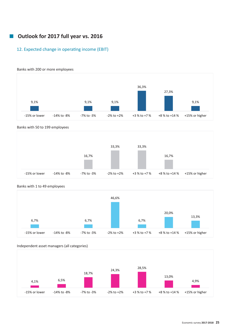# **■** Outlook for 2017 full year vs. 2016

# 12. Expected change in operating income (EBIT)



#### Banks with 200 or more employees







# Banks with 1 to 49 employees

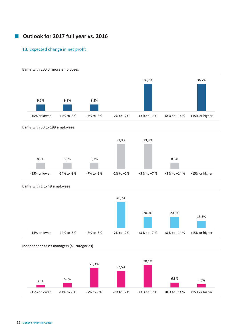# **E** Outlook for 2017 full year vs. 2016

### 13. Expected change in net profit

#### Banks with 200 or more employees



#### Banks with 50 to 199 employees





#### Banks with 1 to 49 employees

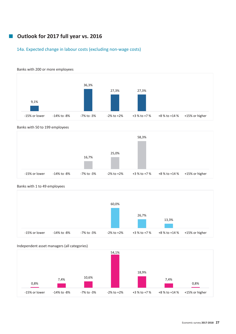# ¡ **Outlook for 2017 full year vs. 2016**

# 14a. Expected change in labour costs (excluding non-wage costs)



#### Banks with 50 to 199 employees





### Banks with 1 to 49 employees

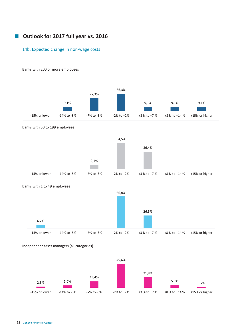# **• Outlook for 2017 full year vs. 2016**

### 14b. Expected change in non-wage costs



Banks with 200 or more employees

#### Banks with 50 to 199 employees





### Banks with 1 to 49 employees

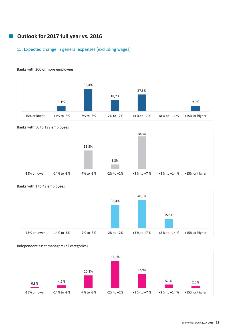# ¡ **Outlook for 2017 full year vs. 2016**

# 15. Expected change in general expenses (excluding wages)



#### Banks with 50 to 199 employees





### Banks with 1 to 49 employees

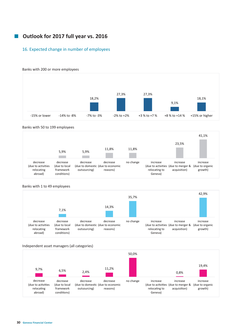# ¡ **Outlook for 2017 full year vs. 2016**

### 16. Expected change in number of employees



#### Banks with 200 or more employees

#### Banks with 50 to 199 employees

|                                                         |                                                       |                          |                                                           |           |                                      | 23,5%                                                           | 41,1%                                  |
|---------------------------------------------------------|-------------------------------------------------------|--------------------------|-----------------------------------------------------------|-----------|--------------------------------------|-----------------------------------------------------------------|----------------------------------------|
|                                                         | 5,9%                                                  | 5,9%                     | 11,8%                                                     | 11,8%     |                                      |                                                                 |                                        |
| decrease<br>(due to activities<br>relocating<br>abroad) | decrease<br>(due to local<br>framework<br>conditions) | decrease<br>outsourcing) | decrease<br>(due to domestic (due to economic<br>reasons) | no change | increase<br>relocating to<br>Geneva) | increase<br>(due to activities (due to merger &<br>acquisition) | increase<br>(due to organic<br>growth) |

#### Banks with 1 to 49 employees



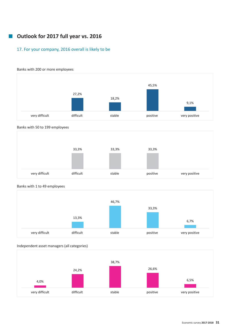# **• Outlook for 2017 full year vs. 2016**

# 17. For your company, 2016 overall is likely to be











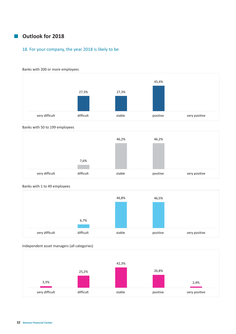# ¡ **Outlook for 2018**

# 18. For your company, the year 2018 is likely to be



Banks with 200 or more employees

#### Banks with 50 to 199 employees





# Banks with 1 to 49 employees

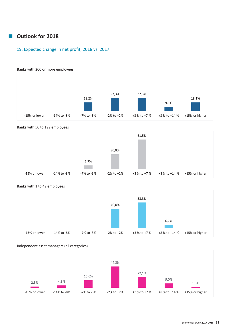# ¡ **Outlook for 2018**

# 19. Expected change in net profit, 2018 vs. 2017



### Banks with 200 or more employees







# Banks with 1 to 49 employees

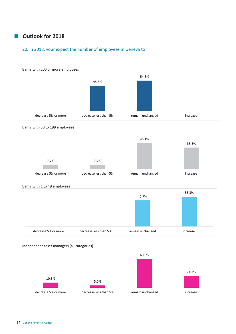# ¡ **Outlook for 2018**

# 20. In 2018, your expect the number of employees in Geneva to



#### Banks with 50 to 199 employees



decrease 5% or more decrease less than 5% remain unchanged increase increase





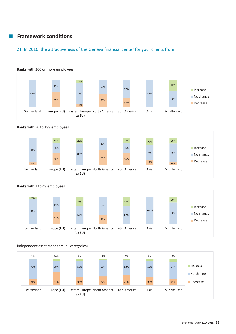# 21. In 2016, the attractiveness of the Geneva financial center for your clients from



#### Banks with 50 to 199 employees





# Banks with 1 to 49 employees

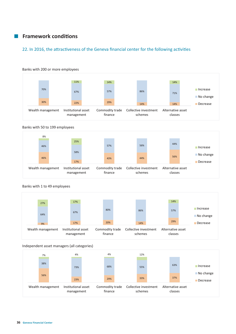# 22. In 2016, the attractiveness of the Geneva financial center for the following activities



#### Banks with 200 or more employees

#### Banks with 50 to 199 employees







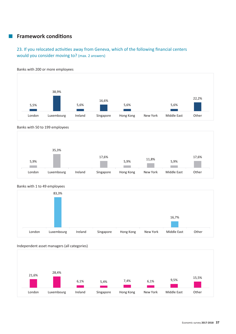# 23. If you relocated activities away from Geneva, which of the following financial centers would you consider moving to? (max. 2 answers)



Banks with 200 or more employees









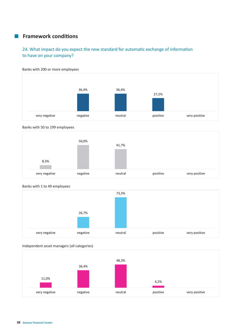# **Examework conditions**

# 24. What impact do you expect the new standard for automatic exchange of information to have on your company?



Banks with 200 or more employees







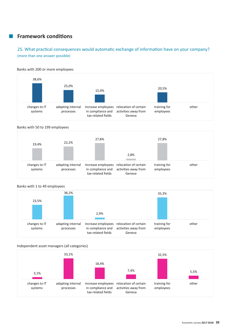# 25. What practical consequences would automatic exchange of information have on your company? (more than one answer possible)

#### Banks with 200 or more employees



#### Banks with 50 to 199 employees



#### Banks with 1 to 49 employees



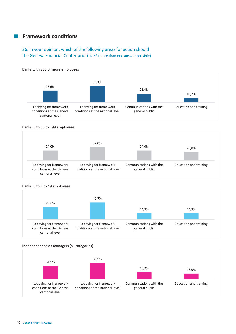# 26. In your opinion, which of the following areas for action should the Geneva Financial Center prioritize? (more than one answer possible)



### Banks with 200 or more employees

#### Banks with 50 to 199 employees



#### Banks with 1 to 49 employees



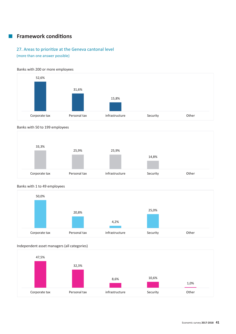# 27. Areas to prioritize at the Geneva cantonal level

(more than one answer possible)

#### Banks with 200 or more employees









# Banks with 1 to 49 employees

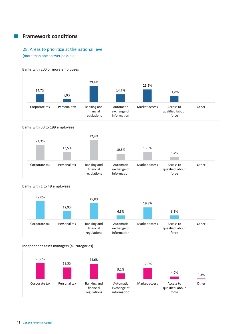# 28. Areas to prioritize at the national level

(more than one answer possible)

#### Banks with 200 or more employees



#### Banks with 50 to 199 employees





### Banks with 1 to 49 employees

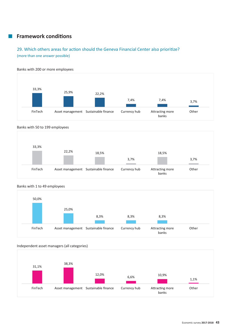# 29. Which others areas for action should the Geneva Financial Center also prioritize? (more than one answer possible)



#### Banks with 50 to 199 employees







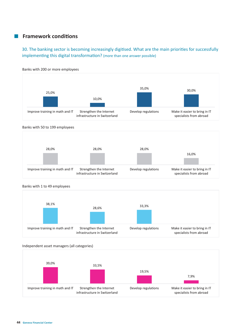30. The banking sector is becoming increasingly digitised. What are the main priorities for successfully implementing this digital transformation? (more than one answer possible)



Banks with 200 or more employees







### Banks with 1 to 49 employees

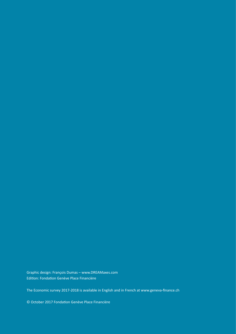Graphic design: François Dumas – www.DREAMaxes.com Edition: Fondation Genève Place Financière

The Economic survey 2017-2018 is available in English and in French at www.geneva-finance.ch

© October 2017 FondaƟ on Genève Place Financière